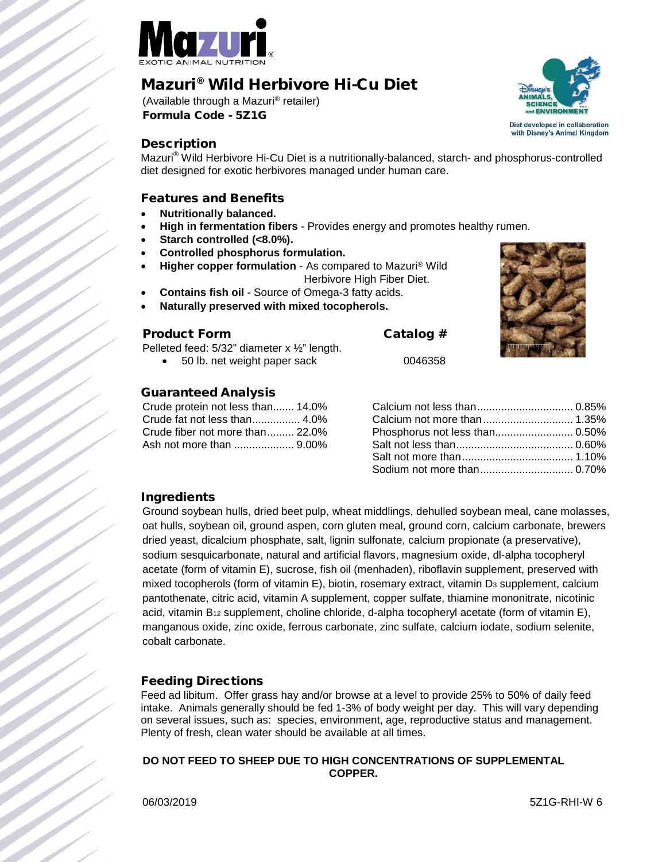

# Mazuri ® Wild Herbivore Hi-Cu Diet

(Available through a Mazuri® retailer) Formula Code - 5Z1G



Mazuri® Wild Herbivore Hi-Cu Diet is a nutritionally-balanced, starch- and phosphorus-controlled diet designed for exotic herbivores managed under human care.

#### Features and Benefits

- **Nutritionally balanced.**
- **High in fermentation fibers**  Provides energy and promotes healthy rumen.
- **Starch controlled (<8.0%).**
- **Controlled phosphorus formulation.**
- **Higher copper formulation** As compared to Mazuri® Wild Herbivore High Fiber Diet.
- **Contains fish oil**  Source of Omega-3 fatty acids.
- **Naturally preserved with mixed tocopherols.**

#### Product Form Catalog #

Pelleted feed: 5/32" diameter x ½" length.

• 50 lb. net weight paper sack 0046358

# Guaranteed Analysis

Crude protein not less than....... 14.0% Crude fat not less than................ 4.0% Crude fiber not more than......... 22.0% Ash not more than .................... 9.00%

# Ingredients

Ground soybean hulls, dried beet pulp, wheat middlings, dehulled soybean meal, cane molasses, oat hulls, soybean oil, ground aspen, corn gluten meal, ground corn, calcium carbonate, brewers dried yeast, dicalcium phosphate, salt, lignin sulfonate, calcium propionate (a preservative), sodium sesquicarbonate, natural and artificial flavors, magnesium oxide, dl-alpha tocopheryl acetate (form of vitamin E), sucrose, fish oil (menhaden), riboflavin supplement, preserved with mixed tocopherols (form of vitamin E), biotin, rosemary extract, vitamin  $D_3$  supplement, calcium pantothenate, citric acid, vitamin A supplement, copper sulfate, thiamine mononitrate, nicotinic acid, vitamin  $B_{12}$  supplement, choline chloride, d-alpha tocopheryl acetate (form of vitamin E), manganous oxide, zinc oxide, ferrous carbonate, zinc sulfate, calcium iodate, sodium selenite, cobalt carbonate.

# Feeding Directions

Feed ad libitum. Offer grass hay and/or browse at a level to provide 25% to 50% of daily feed intake. Animals generally should be fed 1-3% of body weight per day. This will vary depending on several issues, such as: species, environment, age, reproductive status and management. Plenty of fresh, clean water should be available at all times.

#### **DO NOT FEED TO SHEEP DUE TO HIGH CONCENTRATIONS OF SUPPLEMENTAL COPPER.**